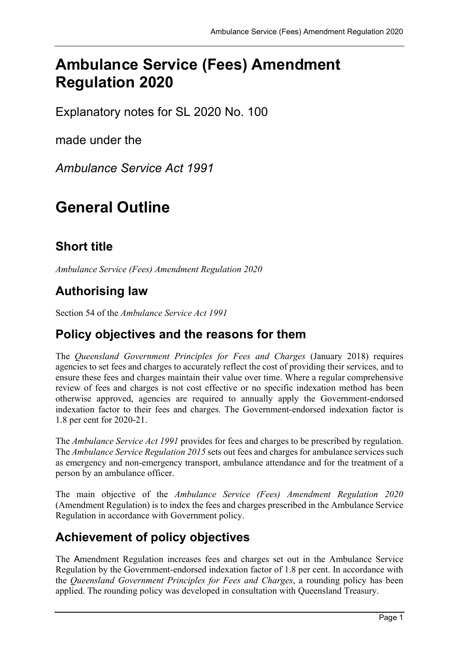# Ambulance Service (Fees) Amendment Regulation 2020

Explanatory notes for SL 2020 No. 100

made under the

Ambulance Service Act 1991

# General Outline

## Short title

Ambulance Service (Fees) Amendment Regulation 2020

## Authorising law

Section 54 of the Ambulance Service Act 1991

### Policy objectives and the reasons for them

The Queensland Government Principles for Fees and Charges (January 2018) requires agencies to set fees and charges to accurately reflect the cost of providing their services, and to ensure these fees and charges maintain their value over time. Where a regular comprehensive review of fees and charges is not cost effective or no specific indexation method has been otherwise approved, agencies are required to annually apply the Government-endorsed indexation factor to their fees and charges. The Government-endorsed indexation factor is 1.8 per cent for 2020-21.

The Ambulance Service Act 1991 provides for fees and charges to be prescribed by regulation. The Ambulance Service Regulation 2015 sets out fees and charges for ambulance services such as emergency and non-emergency transport, ambulance attendance and for the treatment of a person by an ambulance officer.

The main objective of the Ambulance Service (Fees) Amendment Regulation 2020 (Amendment Regulation) is to index the fees and charges prescribed in the Ambulance Service Regulation in accordance with Government policy.

## Achievement of policy objectives

The Amendment Regulation increases fees and charges set out in the Ambulance Service Regulation by the Government-endorsed indexation factor of 1.8 per cent. In accordance with the Queensland Government Principles for Fees and Charges, a rounding policy has been applied. The rounding policy was developed in consultation with Queensland Treasury.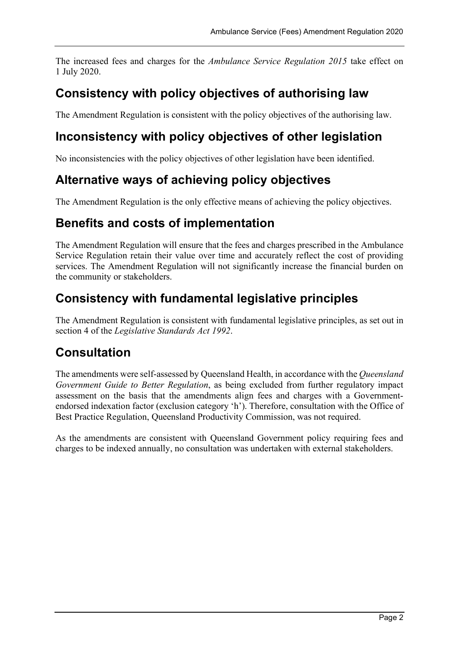The increased fees and charges for the Ambulance Service Regulation 2015 take effect on 1 July 2020.

### Consistency with policy objectives of authorising law

The Amendment Regulation is consistent with the policy objectives of the authorising law.

### Inconsistency with policy objectives of other legislation

No inconsistencies with the policy objectives of other legislation have been identified.

### Alternative ways of achieving policy objectives

The Amendment Regulation is the only effective means of achieving the policy objectives.

### Benefits and costs of implementation

The Amendment Regulation will ensure that the fees and charges prescribed in the Ambulance Service Regulation retain their value over time and accurately reflect the cost of providing services. The Amendment Regulation will not significantly increase the financial burden on the community or stakeholders.

### Consistency with fundamental legislative principles

The Amendment Regulation is consistent with fundamental legislative principles, as set out in section 4 of the Legislative Standards Act 1992.

### Consultation

The amendments were self-assessed by Queensland Health, in accordance with the Queensland Government Guide to Better Regulation, as being excluded from further regulatory impact assessment on the basis that the amendments align fees and charges with a Governmentendorsed indexation factor (exclusion category 'h'). Therefore, consultation with the Office of Best Practice Regulation, Queensland Productivity Commission, was not required.

As the amendments are consistent with Queensland Government policy requiring fees and charges to be indexed annually, no consultation was undertaken with external stakeholders.